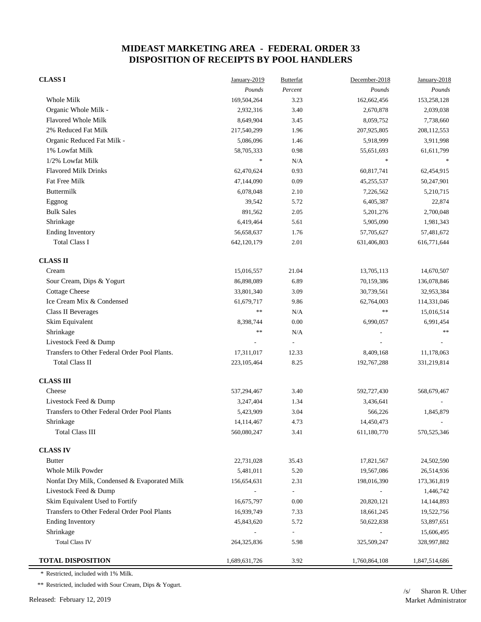| <b>CLASS I</b>                                | January-2019  | <b>Butterfat</b>         | December-2018 | January-2018  |
|-----------------------------------------------|---------------|--------------------------|---------------|---------------|
|                                               | Pounds        | Percent                  | Pounds        | Pounds        |
| Whole Milk                                    | 169,504,264   | 3.23                     | 162,662,456   | 153,258,128   |
| Organic Whole Milk -                          | 2,932,316     | 3.40                     | 2,670,878     | 2,039,038     |
| <b>Flavored Whole Milk</b>                    | 8,649,904     | 3.45                     | 8,059,752     | 7,738,660     |
| 2% Reduced Fat Milk                           | 217,540,299   | 1.96                     | 207,925,805   | 208,112,553   |
| Organic Reduced Fat Milk -                    | 5,086,096     | 1.46                     | 5,918,999     | 3,911,998     |
| 1% Lowfat Milk                                | 58,705,333    | 0.98                     | 55,651,693    | 61,611,799    |
| 1/2% Lowfat Milk                              | $\frac{1}{2}$ | N/A                      | $\ast$        |               |
| <b>Flavored Milk Drinks</b>                   | 62,470,624    | 0.93                     | 60,817,741    | 62,454,915    |
| Fat Free Milk                                 | 47,144,090    | 0.09                     | 45,255,537    | 50,247,901    |
| Buttermilk                                    | 6,078,048     | 2.10                     | 7,226,562     | 5,210,715     |
| Eggnog                                        | 39,542        | 5.72                     | 6,405,387     | 22,874        |
| <b>Bulk Sales</b>                             | 891,562       | 2.05                     | 5,201,276     | 2,700,048     |
| Shrinkage                                     | 6,419,464     | 5.61                     | 5,905,090     | 1,981,343     |
| <b>Ending Inventory</b>                       | 56,658,637    | 1.76                     | 57,705,627    | 57,481,672    |
| <b>Total Class I</b>                          | 642,120,179   | 2.01                     | 631,406,803   | 616,771,644   |
| <b>CLASS II</b>                               |               |                          |               |               |
| Cream                                         | 15,016,557    | 21.04                    | 13,705,113    | 14,670,507    |
| Sour Cream, Dips & Yogurt                     | 86,898,089    | 6.89                     | 70,159,386    | 136,078,846   |
| <b>Cottage Cheese</b>                         | 33,801,340    | 3.09                     | 30,739,561    | 32,953,384    |
| Ice Cream Mix & Condensed                     | 61,679,717    | 9.86                     | 62,764,003    | 114,331,046   |
| <b>Class II Beverages</b>                     | $\ast$        | N/A                      | $\gg \gg$     | 15,016,514    |
| Skim Equivalent                               | 8,398,744     | 0.00                     | 6,990,057     | 6,991,454     |
| Shrinkage                                     | $**$          | N/A                      |               | $\gg \gg$     |
| Livestock Feed & Dump                         |               |                          |               |               |
| Transfers to Other Federal Order Pool Plants. | 17,311,017    | 12.33                    | 8,409,168     | 11,178,063    |
| <b>Total Class II</b>                         | 223, 105, 464 | 8.25                     | 192,767,288   | 331,219,814   |
| <b>CLASS III</b>                              |               |                          |               |               |
| Cheese                                        | 537,294,467   | 3.40                     | 592,727,430   | 568,679,467   |
| Livestock Feed & Dump                         | 3,247,404     | 1.34                     | 3,436,641     |               |
| Transfers to Other Federal Order Pool Plants  | 5,423,909     | 3.04                     | 566,226       | 1,845,879     |
| Shrinkage                                     | 14,114,467    | 4.73                     | 14,450,473    |               |
| <b>Total Class III</b>                        | 560,080,247   | 3.41                     | 611,180,770   | 570, 525, 346 |
| <b>CLASS IV</b>                               |               |                          |               |               |
| <b>Butter</b>                                 | 22,731,028    | 35.43                    | 17,821,567    | 24,502,590    |
| Whole Milk Powder                             | 5,481,011     | 5.20                     | 19,567,086    | 26,514,936    |
| Nonfat Dry Milk, Condensed & Evaporated Milk  | 156,654,631   | 2.31                     | 198,016,390   | 173,361,819   |
| Livestock Feed & Dump                         |               | $\overline{\phantom{a}}$ |               | 1,446,742     |
| Skim Equivalent Used to Fortify               | 16,675,797    | 0.00                     | 20,820,121    | 14, 144, 893  |
| Transfers to Other Federal Order Pool Plants  | 16,939,749    | 7.33                     | 18,661,245    | 19,522,756    |
| <b>Ending Inventory</b>                       | 45,843,620    | 5.72                     | 50,622,838    | 53,897,651    |
| Shrinkage                                     |               | $\overline{\phantom{a}}$ |               | 15,606,495    |
| <b>Total Class IV</b>                         | 264,325,836   | 5.98                     | 325,509,247   | 328,997,882   |
| <b>TOTAL DISPOSITION</b>                      | 1,689,631,726 | 3.92                     | 1,760,864,108 | 1,847,514,686 |

\* Restricted, included with 1% Milk.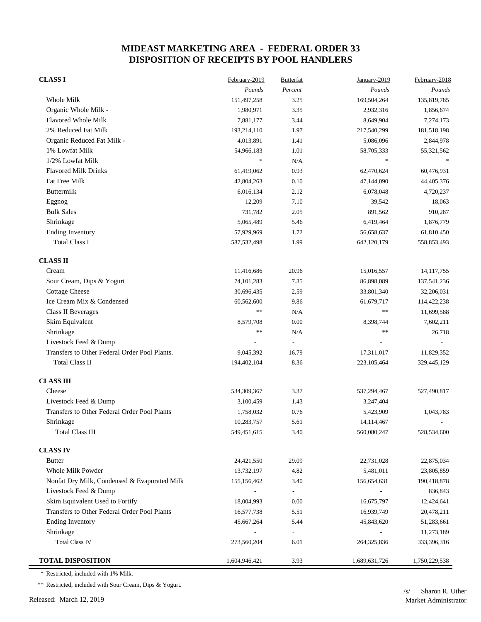| <b>CLASS I</b>                                | February-2019 | <b>Butterfat</b>         | January-2019  | February-2018 |
|-----------------------------------------------|---------------|--------------------------|---------------|---------------|
|                                               | Pounds        | Percent                  | Pounds        | Pounds        |
| Whole Milk                                    | 151,497,258   | 3.25                     | 169,504,264   | 135,819,785   |
| Organic Whole Milk -                          | 1,980,971     | 3.35                     | 2,932,316     | 1,856,674     |
| <b>Flavored Whole Milk</b>                    | 7,881,177     | 3.44                     | 8,649,904     | 7,274,173     |
| 2% Reduced Fat Milk                           | 193,214,110   | 1.97                     | 217,540,299   | 181,518,198   |
| Organic Reduced Fat Milk -                    | 4,013,891     | 1.41                     | 5,086,096     | 2,844,978     |
| 1% Lowfat Milk                                | 54,966,183    | 1.01                     | 58,705,333    | 55,321,562    |
| 1/2% Lowfat Milk                              | $\ast$        | N/A                      | $\frac{1}{2}$ |               |
| <b>Flavored Milk Drinks</b>                   | 61,419,062    | 0.93                     | 62,470,624    | 60,476,931    |
| Fat Free Milk                                 | 42,804,263    | 0.10                     | 47,144,090    | 44,405,376    |
| Buttermilk                                    | 6,016,134     | 2.12                     | 6,078,048     | 4,720,237     |
| Eggnog                                        | 12,209        | 7.10                     | 39,542        | 18,063        |
| <b>Bulk Sales</b>                             | 731,782       | 2.05                     | 891,562       | 910,287       |
| Shrinkage                                     | 5,065,489     | 5.46                     | 6,419,464     | 1,876,779     |
| <b>Ending Inventory</b>                       | 57,929,969    | 1.72                     | 56,658,637    | 61,810,450    |
| <b>Total Class I</b>                          | 587, 532, 498 | 1.99                     | 642,120,179   | 558,853,493   |
| <b>CLASS II</b>                               |               |                          |               |               |
| Cream                                         | 11,416,686    | 20.96                    | 15,016,557    | 14, 117, 755  |
| Sour Cream, Dips & Yogurt                     | 74, 101, 283  | 7.35                     | 86,898,089    | 137,541,236   |
| <b>Cottage Cheese</b>                         | 30,696,435    | 2.59                     | 33,801,340    | 32,206,031    |
| Ice Cream Mix & Condensed                     | 60,562,600    | 9.86                     | 61,679,717    | 114,422,238   |
| <b>Class II Beverages</b>                     | **            | N/A                      | **            | 11,699,588    |
| Skim Equivalent                               | 8,579,708     | 0.00                     | 8,398,744     | 7,602,211     |
| Shrinkage                                     | $\ast$        | N/A                      | $\ast$        | 26,718        |
| Livestock Feed & Dump                         |               |                          |               |               |
| Transfers to Other Federal Order Pool Plants. | 9,045,392     | 16.79                    | 17,311,017    | 11,829,352    |
| <b>Total Class II</b>                         | 194,402,104   | 8.36                     | 223, 105, 464 | 329,445,129   |
| <b>CLASS III</b>                              |               |                          |               |               |
| Cheese                                        | 534,309,367   | 3.37                     | 537,294,467   | 527,490,817   |
| Livestock Feed & Dump                         | 3,100,459     | 1.43                     | 3,247,404     |               |
| Transfers to Other Federal Order Pool Plants  | 1,758,032     | 0.76                     | 5,423,909     | 1,043,783     |
| Shrinkage                                     | 10,283,757    | 5.61                     | 14, 114, 467  |               |
| <b>Total Class III</b>                        | 549,451,615   | 3.40                     | 560,080,247   | 528,534,600   |
| <b>CLASS IV</b>                               |               |                          |               |               |
| <b>Butter</b>                                 | 24,421,550    | 29.09                    | 22,731,028    | 22,875,034    |
| Whole Milk Powder                             | 13,732,197    | 4.82                     | 5,481,011     | 23,805,859    |
| Nonfat Dry Milk, Condensed & Evaporated Milk  | 155,156,462   | 3.40                     | 156,654,631   | 190,418,878   |
| Livestock Feed & Dump                         |               | $\overline{\phantom{a}}$ |               | 836,843       |
| Skim Equivalent Used to Fortify               | 18,004,993    | 0.00                     | 16,675,797    | 12,424,641    |
| Transfers to Other Federal Order Pool Plants  | 16,577,738    | 5.51                     | 16,939,749    | 20,478,211    |
| <b>Ending Inventory</b>                       | 45,667,264    | 5.44                     | 45,843,620    | 51,283,661    |
| Shrinkage                                     |               | $\overline{\phantom{a}}$ |               | 11,273,189    |
| <b>Total Class IV</b>                         | 273,560,204   | 6.01                     | 264,325,836   | 333,396,316   |
| <b>TOTAL DISPOSITION</b>                      | 1,604,946,421 | 3.93                     | 1,689,631,726 | 1,750,229,538 |

\* Restricted, included with 1% Milk.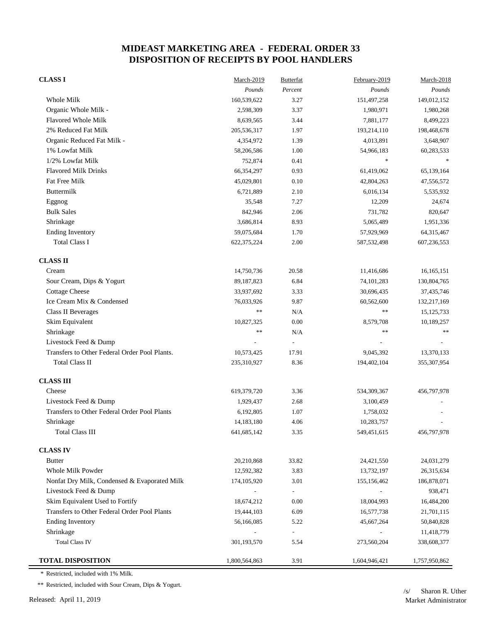| <b>CLASS I</b>                                | March-2019    | <b>Butterfat</b>         | February-2019                     | March-2018    |
|-----------------------------------------------|---------------|--------------------------|-----------------------------------|---------------|
|                                               | Pounds        | Percent                  | Pounds                            | Pounds        |
| Whole Milk                                    | 160,539,622   | 3.27                     | 151,497,258                       | 149,012,152   |
| Organic Whole Milk -                          | 2,598,309     | 3.37                     | 1,980,971                         | 1,980,268     |
| <b>Flavored Whole Milk</b>                    | 8,639,565     | 3.44                     | 7,881,177                         | 8,499,223     |
| 2% Reduced Fat Milk                           | 205,536,317   | 1.97                     | 193,214,110                       | 198,468,678   |
| Organic Reduced Fat Milk -                    | 4,354,972     | 1.39                     | 4,013,891                         | 3,648,907     |
| 1% Lowfat Milk                                | 58,206,586    | 1.00                     | 54,966,183                        | 60,283,533    |
| 1/2% Lowfat Milk                              | 752,874       | 0.41                     | $\frac{d\mathbf{r}}{d\mathbf{r}}$ |               |
| <b>Flavored Milk Drinks</b>                   | 66,354,297    | 0.93                     | 61,419,062                        | 65,139,164    |
| Fat Free Milk                                 | 45,029,801    | 0.10                     | 42,804,263                        | 47,556,572    |
| Buttermilk                                    | 6,721,889     | 2.10                     | 6,016,134                         | 5,535,932     |
| Eggnog                                        | 35,548        | 7.27                     | 12,209                            | 24,674        |
| <b>Bulk Sales</b>                             | 842,946       | 2.06                     | 731,782                           | 820,647       |
| Shrinkage                                     | 3,686,814     | 8.93                     | 5,065,489                         | 1,951,336     |
| <b>Ending Inventory</b>                       | 59,075,684    | 1.70                     | 57,929,969                        | 64,315,467    |
| <b>Total Class I</b>                          | 622, 375, 224 | 2.00                     | 587, 532, 498                     | 607,236,553   |
| <b>CLASS II</b>                               |               |                          |                                   |               |
| Cream                                         | 14,750,736    | 20.58                    | 11,416,686                        | 16,165,151    |
| Sour Cream, Dips & Yogurt                     | 89,187,823    | 6.84                     | 74, 101, 283                      | 130,804,765   |
| <b>Cottage Cheese</b>                         | 33,937,692    | 3.33                     | 30,696,435                        | 37,435,746    |
| Ice Cream Mix & Condensed                     | 76,033,926    | 9.87                     | 60,562,600                        | 132,217,169   |
| <b>Class II Beverages</b>                     | $\ast$        | N/A                      | $\ast$                            | 15, 125, 733  |
| Skim Equivalent                               | 10,827,325    | 0.00                     | 8,579,708                         | 10,189,257    |
| Shrinkage                                     | $**$          | N/A                      | $\ast$                            | $\gg \gg$     |
| Livestock Feed & Dump                         |               | $\overline{\phantom{a}}$ |                                   |               |
| Transfers to Other Federal Order Pool Plants. | 10,573,425    | 17.91                    | 9,045,392                         | 13,370,133    |
| <b>Total Class II</b>                         | 235,310,927   | 8.36                     | 194,402,104                       | 355,307,954   |
| <b>CLASS III</b>                              |               |                          |                                   |               |
| Cheese                                        | 619,379,720   | 3.36                     | 534,309,367                       | 456,797,978   |
| Livestock Feed & Dump                         | 1,929,437     | 2.68                     | 3,100,459                         |               |
| Transfers to Other Federal Order Pool Plants  | 6,192,805     | 1.07                     | 1,758,032                         |               |
| Shrinkage                                     | 14,183,180    | 4.06                     | 10,283,757                        |               |
| <b>Total Class III</b>                        | 641, 685, 142 | 3.35                     | 549,451,615                       | 456,797,978   |
| <b>CLASS IV</b>                               |               |                          |                                   |               |
| <b>Butter</b>                                 | 20,210,868    | 33.82                    | 24,421,550                        | 24,031,279    |
| Whole Milk Powder                             | 12,592,382    | 3.83                     | 13,732,197                        | 26,315,634    |
| Nonfat Dry Milk, Condensed & Evaporated Milk  | 174, 105, 920 | 3.01                     | 155, 156, 462                     | 186,878,071   |
| Livestock Feed & Dump                         |               | $\overline{\phantom{a}}$ |                                   | 938,471       |
| Skim Equivalent Used to Fortify               | 18,674,212    | 0.00                     | 18,004,993                        | 16,484,200    |
| Transfers to Other Federal Order Pool Plants  | 19,444,103    | 6.09                     | 16,577,738                        | 21,701,115    |
| <b>Ending Inventory</b>                       | 56,166,085    | 5.22                     | 45,667,264                        | 50,840,828    |
| Shrinkage                                     |               | $\overline{\phantom{a}}$ |                                   | 11,418,779    |
| <b>Total Class IV</b>                         | 301,193,570   | 5.54                     | 273,560,204                       | 338,608,377   |
| <b>TOTAL DISPOSITION</b>                      | 1,800,564,863 | 3.91                     | 1,604,946,421                     | 1,757,950,862 |

\* Restricted, included with 1% Milk.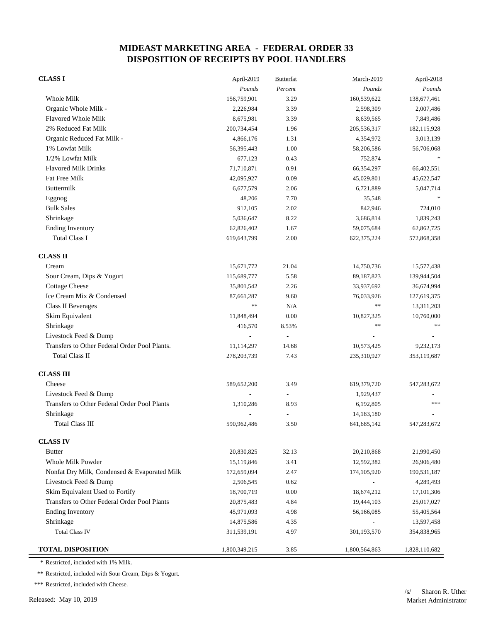| <b>CLASS I</b>                                | April-2019    | <b>Butterfat</b> | March-2019    | April-2018    |
|-----------------------------------------------|---------------|------------------|---------------|---------------|
|                                               | Pounds        | Percent          | Pounds        | Pounds        |
| <b>Whole Milk</b>                             | 156,759,901   | 3.29             | 160,539,622   | 138,677,461   |
| Organic Whole Milk -                          | 2,226,984     | 3.39             | 2,598,309     | 2,007,486     |
| Flavored Whole Milk                           | 8,675,981     | 3.39             | 8,639,565     | 7,849,486     |
| 2% Reduced Fat Milk                           | 200,734,454   | 1.96             | 205,536,317   | 182, 115, 928 |
| Organic Reduced Fat Milk -                    | 4,866,176     | 1.31             | 4,354,972     | 3,013,139     |
| 1% Lowfat Milk                                | 56,395,443    | 1.00             | 58,206,586    | 56,706,068    |
| 1/2% Lowfat Milk                              | 677,123       | 0.43             | 752,874       |               |
| <b>Flavored Milk Drinks</b>                   | 71,710,871    | 0.91             | 66,354,297    | 66,402,551    |
| Fat Free Milk                                 | 42,095,927    | 0.09             | 45,029,801    | 45,622,547    |
| <b>Buttermilk</b>                             | 6,677,579     | 2.06             | 6,721,889     | 5,047,714     |
| Eggnog                                        | 48,206        | 7.70             | 35,548        |               |
| <b>Bulk Sales</b>                             | 912,105       | 2.02             | 842,946       | 724,010       |
| Shrinkage                                     | 5,036,647     | 8.22             | 3,686,814     | 1,839,243     |
| <b>Ending Inventory</b>                       | 62,826,402    | 1.67             | 59,075,684    | 62,862,725    |
| <b>Total Class I</b>                          | 619,643,799   | 2.00             | 622,375,224   | 572,868,358   |
| <b>CLASS II</b>                               |               |                  |               |               |
| Cream                                         | 15,671,772    | 21.04            | 14,750,736    | 15,577,438    |
| Sour Cream, Dips & Yogurt                     | 115,689,777   | 5.58             | 89,187,823    | 139,944,504   |
| <b>Cottage Cheese</b>                         | 35,801,542    | 2.26             | 33,937,692    | 36,674,994    |
| Ice Cream Mix & Condensed                     | 87,661,287    | 9.60             | 76,033,926    | 127,619,375   |
| Class II Beverages                            | $**$          | N/A              | $\ast\ast$    | 13,311,203    |
| Skim Equivalent                               | 11,848,494    | 0.00             | 10,827,325    | 10,760,000    |
| Shrinkage                                     | 416,570       | 8.53%            | $\ast\ast$    | $\ast\ast$    |
| Livestock Feed & Dump                         |               | $\overline{a}$   |               |               |
| Transfers to Other Federal Order Pool Plants. | 11,114,297    | 14.68            | 10,573,425    | 9,232,173     |
| <b>Total Class II</b>                         | 278, 203, 739 | 7.43             | 235,310,927   | 353,119,687   |
| <b>CLASS III</b>                              |               |                  |               |               |
| Cheese                                        | 589,652,200   | 3.49             | 619,379,720   | 547,283,672   |
| Livestock Feed & Dump                         |               |                  | 1,929,437     |               |
| Transfers to Other Federal Order Pool Plants  | 1,310,286     | 8.93             | 6,192,805     | ***           |
| Shrinkage                                     |               |                  | 14,183,180    |               |
| <b>Total Class III</b>                        | 590,962,486   | 3.50             | 641,685,142   | 547,283,672   |
| <b>CLASS IV</b>                               |               |                  |               |               |
| <b>Butter</b>                                 | 20,830,825    | 32.13            | 20,210,868    | 21,990,450    |
| Whole Milk Powder                             | 15,119,846    | 3.41             | 12,592,382    | 26,906,480    |
| Nonfat Dry Milk, Condensed & Evaporated Milk  | 172,659,094   | 2.47             | 174, 105, 920 | 190,531,187   |
| Livestock Feed & Dump                         | 2,506,545     | 0.62             |               | 4,289,493     |
| Skim Equivalent Used to Fortify               | 18,700,719    | 0.00             | 18,674,212    | 17,101,306    |
| Transfers to Other Federal Order Pool Plants  | 20,875,483    | 4.84             | 19,444,103    | 25,017,027    |
| <b>Ending Inventory</b>                       | 45,971,093    | 4.98             | 56,166,085    | 55,405,564    |
| Shrinkage                                     | 14,875,586    | 4.35             |               | 13,597,458    |
| <b>Total Class IV</b>                         | 311,539,191   | 4.97             | 301,193,570   | 354,838,965   |
| <b>TOTAL DISPOSITION</b>                      | 1,800,349,215 | 3.85             | 1,800,564,863 | 1,828,110,682 |

\* Restricted, included with 1% Milk.

\*\* Restricted, included with Sour Cream, Dips & Yogurt.

\*\*\* Restricted, included with Cheese.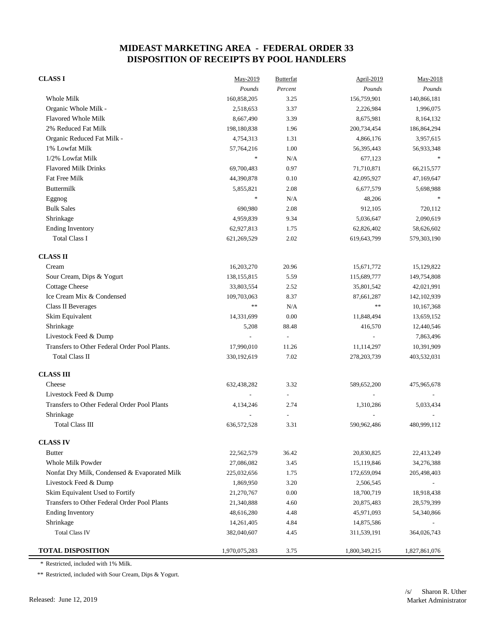| <b>CLASS I</b>                                | May-2019      | <b>Butterfat</b>         | <b>April-2019</b> | $May-2018$    |
|-----------------------------------------------|---------------|--------------------------|-------------------|---------------|
|                                               | Pounds        | Percent                  | Pounds            | Pounds        |
| Whole Milk                                    | 160,858,205   | 3.25                     | 156,759,901       | 140,866,181   |
| Organic Whole Milk -                          | 2,518,653     | 3.37                     | 2,226,984         | 1,996,075     |
| <b>Flavored Whole Milk</b>                    | 8,667,490     | 3.39                     | 8,675,981         | 8,164,132     |
| 2% Reduced Fat Milk                           | 198,180,838   | 1.96                     | 200,734,454       | 186,864,294   |
| Organic Reduced Fat Milk -                    | 4,754,313     | 1.31                     | 4,866,176         | 3,957,615     |
| 1% Lowfat Milk                                | 57,764,216    | 1.00                     | 56,395,443        | 56,933,348    |
| 1/2% Lowfat Milk                              | $\ast$        | N/A                      | 677,123           |               |
| <b>Flavored Milk Drinks</b>                   | 69,700,483    | 0.97                     | 71,710,871        | 66,215,577    |
| Fat Free Milk                                 | 44,390,878    | 0.10                     | 42,095,927        | 47,169,647    |
| Buttermilk                                    | 5,855,821     | 2.08                     | 6,677,579         | 5,698,988     |
| Eggnog                                        | $\ast$        | N/A                      | 48,206            |               |
| <b>Bulk Sales</b>                             | 690,980       | 2.08                     | 912,105           | 720,112       |
| Shrinkage                                     | 4,959,839     | 9.34                     | 5,036,647         | 2,090,619     |
| <b>Ending Inventory</b>                       | 62,927,813    | 1.75                     | 62,826,402        | 58,626,602    |
| <b>Total Class I</b>                          | 621,269,529   | 2.02                     | 619,643,799       | 579,303,190   |
| <b>CLASS II</b>                               |               |                          |                   |               |
| Cream                                         | 16,203,270    | 20.96                    | 15,671,772        | 15,129,822    |
| Sour Cream, Dips & Yogurt                     | 138,155,815   | 5.59                     | 115,689,777       | 149,754,808   |
| <b>Cottage Cheese</b>                         | 33,803,554    | 2.52                     | 35,801,542        | 42,021,991    |
| Ice Cream Mix & Condensed                     | 109,703,063   | 8.37                     | 87,661,287        | 142, 102, 939 |
| Class II Beverages                            | $\ast\ast$    | N/A                      | $\ast\ast$        | 10,167,368    |
| Skim Equivalent                               | 14,331,699    | 0.00                     | 11,848,494        | 13,659,152    |
| Shrinkage                                     | 5,208         | 88.48                    | 416,570           | 12,440,546    |
| Livestock Feed & Dump                         |               | $\overline{\phantom{a}}$ |                   | 7,863,496     |
| Transfers to Other Federal Order Pool Plants. | 17,990,010    | 11.26                    | 11,114,297        | 10,391,909    |
| Total Class II                                | 330,192,619   | 7.02                     | 278, 203, 739     | 403,532,031   |
| <b>CLASS III</b>                              |               |                          |                   |               |
| Cheese                                        | 632,438,282   | 3.32                     | 589,652,200       | 475,965,678   |
| Livestock Feed & Dump                         |               |                          |                   |               |
| Transfers to Other Federal Order Pool Plants  | 4,134,246     | 2.74                     | 1,310,286         | 5,033,434     |
| Shrinkage                                     |               |                          |                   |               |
| Total Class III                               | 636,572,528   | 3.31                     | 590,962,486       | 480,999,112   |
| <b>CLASS IV</b>                               |               |                          |                   |               |
| <b>Butter</b>                                 | 22,562,579    | 36.42                    | 20,830,825        | 22,413,249    |
| <b>Whole Milk Powder</b>                      | 27,086,082    | 3.45                     | 15,119,846        | 34,276,388    |
| Nonfat Dry Milk, Condensed & Evaporated Milk  | 225,032,656   | 1.75                     | 172,659,094       | 205,498,403   |
| Livestock Feed & Dump                         | 1,869,950     | 3.20                     | 2,506,545         |               |
| Skim Equivalent Used to Fortify               | 21,270,767    | 0.00                     | 18,700,719        | 18,918,438    |
| Transfers to Other Federal Order Pool Plants  | 21,340,888    | 4.60                     | 20,875,483        | 28,579,399    |
| <b>Ending Inventory</b>                       | 48,616,280    | 4.48                     | 45,971,093        | 54,340,866    |
| Shrinkage                                     | 14,261,405    | 4.84                     | 14,875,586        |               |
| <b>Total Class IV</b>                         | 382,040,607   | 4.45                     | 311,539,191       | 364,026,743   |
| <b>TOTAL DISPOSITION</b>                      | 1,970,075,283 | 3.75                     | 1,800,349,215     | 1,827,861,076 |

\* Restricted, included with 1% Milk.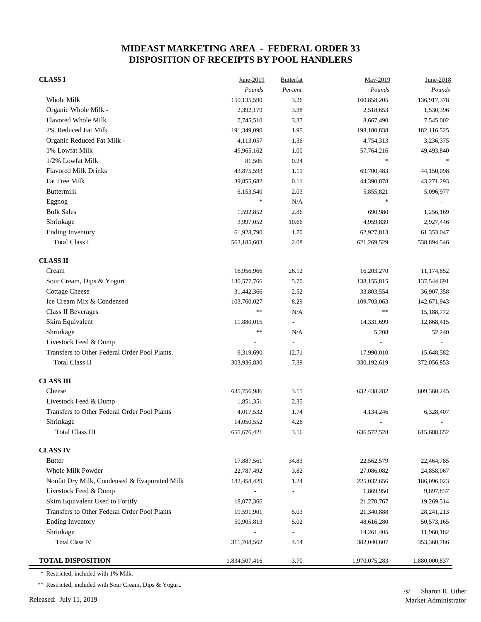#### **CLASS I** June-2019 Butterfat May-2019 May-2019 June-2018 *Pounds Percent Pounds Pounds* Whole Milk 150,135,590 3.26 160,858,205 136,917,378 Organic Whole Milk - 2,392,179 3.38 2,518,653 1,530,396 Flavored Whole Milk 7,745,510 3.37 8,667,490 7,545,002 2% Reduced Fat Milk 191,349,090 1.95 198,180,838 182,116,525 Organic Reduced Fat Milk -  $4.113,057$   $1.36$   $4.754,313$   $3.236,375$ 1% Lowfat Milk 49,965,162 1.00 57,764,216 49,493,840 1/2% Lowfat Milk 81,506 0.24 Flavored Milk Drinks 43,875,593 1.11 69,700,483 44,150,098 Fat Free Milk  $39,855,682$   $0.11$   $44,390,878$   $43,271,293$ Buttermilk 5,096,977 5,096,977 6,153,540 5,053,540 5,055,821 5,096,977  $\text{Eggnog}$   $\text{*}$   $\text{N/A}$   $\text{*}$ Bulk Sales 1,592,852 2.86 690,980 1,256,169 Shrinkage 2,927,446 3,997,052 10.66 4,959,839 2,927,446 Ending Inventory 61,353,047 61,928,790 61,928,790 62,927,813 61,353,047 Total Class I 563,185,603 2.08 621,269,529 538,894,546  **CLASS II** Cream 16,956,966 26.12 16,9203,270 11,174,852 Sour Cream, Dips & Yogurt 130,577,766 5.70 138,155,815 137,544,691 Cottage Cheese 31,442,366 2.52 33,803,554 36,907,358 Ice Cream Mix & Condensed 103,760,027 8.29 109,703,063 142,671,943 Class II Beverages **the contract of the contract of the contract of the contract of the contract of the contract of the contract of the contract of the contract of the contract of the contract of the contract of the contra** Skim Equivalent 11,880,015 - 14,331,699 12,868,415 Shrinkage 52,240 55 and 5,208 52,240 Livestock Feed & Dump - - - - Transfers to Other Federal Order Pool Plants.  $9,319,690$  12.71 17,990,010 15,648,582 Total Class II 303,936,830 7.39 330,192,619 372,056,853  **CLASS III** Cheese 632,438,282 609,360,245 632,438,282 609,360,245 Livestock Feed & Dump  $1,851,351$   $2.35$ Transfers to Other Federal Order Pool Plants 4,017,532 1.74 4,134,246 6,328,407 Shrinkage 14,050,552 4.26 - - Total Class III 655,676,421 5.16 636,572,528 615,688,652  **CLASS IV** Butter 22,464,785 22,464,785 22,464,785 22,464,785 22,464,785 22,464,785 Whole Milk Powder 22,787,492 3.82 27,086,082 24,858,067 Nonfat Dry Milk, Condensed & Evaporated Milk 182,458,429 1.24 225,032,656 186,096,023 Livestock Feed & Dump 0.897,837 Skim Equivalent Used to Fortify 18,077,366 - 21,270,767 19,269,514 Transfers to Other Federal Order Pool Plants 19,591,901 5.03 21,340,888 28,241,213 Ending Inventory 60,573,165 50,905,813 5.02 48,616,280 50,573,165 Shrinkage 11,960,182 and 14,261,405 11,960,182 Total Class IV 311,708,562 4.14 382,040,607 353,360,786

**TOTAL DISPOSITION** 1,834,507,416 3.70 1,970,075,283 1,880,000,837

\* Restricted, included with 1% Milk.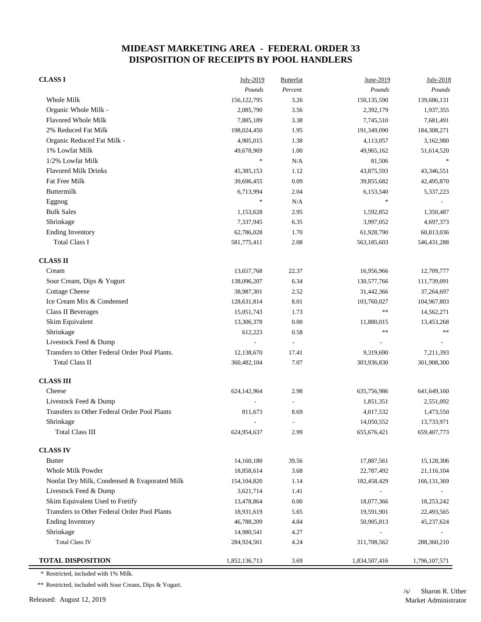| <b>CLASS I</b>                                | July-2019     | <b>Butterfat</b>         | June-2019         | July-2018     |
|-----------------------------------------------|---------------|--------------------------|-------------------|---------------|
|                                               | Pounds        | Percent                  | Pounds            | Pounds        |
| Whole Milk                                    | 156, 122, 795 | 3.26                     | 150,135,590       | 139,686,131   |
| Organic Whole Milk -                          | 2,085,790     | 3.56                     | 2,392,179         | 1,937,355     |
| <b>Flavored Whole Milk</b>                    | 7,885,189     | 3.38                     | 7,745,510         | 7,681,491     |
| 2% Reduced Fat Milk                           | 198,024,450   | 1.95                     | 191,349,090       | 184,308,271   |
| Organic Reduced Fat Milk -                    | 4,905,015     | 1.38                     | 4,113,057         | 3,162,980     |
| 1% Lowfat Milk                                | 49,678,969    | 1.00                     | 49,965,162        | 51,614,520    |
| 1/2% Lowfat Milk                              | $\frac{1}{2}$ | N/A                      | 81,506            |               |
| <b>Flavored Milk Drinks</b>                   | 45,385,153    | 1.12                     | 43,875,593        | 43,346,551    |
| <b>Fat Free Milk</b>                          | 39,696,455    | 0.09                     | 39,855,682        | 42,495,870    |
| Buttermilk                                    | 6,713,994     | 2.04                     | 6,153,540         | 5,337,223     |
| Eggnog                                        | $\ast$        | N/A                      | $\frac{1}{2} \xi$ |               |
| <b>Bulk Sales</b>                             | 1,153,628     | 2.95                     | 1,592,852         | 1,350,487     |
| Shrinkage                                     | 7,337,945     | 6.35                     | 3,997,052         | 4,697,373     |
| <b>Ending Inventory</b>                       | 62,786,028    | 1.70                     | 61,928,790        | 60,813,036    |
| <b>Total Class I</b>                          | 581,775,411   | 2.08                     | 563,185,603       | 546, 431, 288 |
| <b>CLASS II</b>                               |               |                          |                   |               |
| Cream                                         | 13,657,768    | 22.37                    | 16,956,966        | 12,709,777    |
| Sour Cream, Dips & Yogurt                     | 138,096,207   | 6.34                     | 130,577,766       | 111,739,091   |
| <b>Cottage Cheese</b>                         | 38,987,301    | 2.52                     | 31,442,366        | 37,264,697    |
| Ice Cream Mix & Condensed                     | 128,631,814   | 8.01                     | 103,760,027       | 104,967,803   |
| Class II Beverages                            | 15,051,743    | 1.73                     | $\ast$            | 14,562,271    |
| Skim Equivalent                               | 13,306,378    | 0.00                     | 11,880,015        | 13,453,268    |
| Shrinkage                                     | 612,223       | 0.58                     | $* *$             | $\ast$        |
| Livestock Feed & Dump                         |               | $\overline{\phantom{a}}$ |                   |               |
| Transfers to Other Federal Order Pool Plants. | 12,138,670    | 17.41                    | 9,319,690         | 7,211,393     |
| <b>Total Class II</b>                         | 360,482,104   | 7.07                     | 303,936,830       | 301,908,300   |
| <b>CLASS III</b>                              |               |                          |                   |               |
| Cheese                                        | 624,142,964   | 2.98                     | 635,756,986       | 641,649,160   |
| Livestock Feed & Dump                         |               |                          | 1,851,351         | 2,551,092     |
| Transfers to Other Federal Order Pool Plants  | 811,673       | 8.69                     | 4,017,532         | 1,473,550     |
| Shrinkage                                     |               | $\overline{a}$           | 14,050,552        | 13,733,971    |
| <b>Total Class III</b>                        | 624,954,637   | 2.99                     | 655, 676, 421     | 659,407,773   |
| <b>CLASS IV</b>                               |               |                          |                   |               |
| <b>Butter</b>                                 | 14,160,180    | 39.56                    | 17,887,561        | 15,128,306    |
| Whole Milk Powder                             | 18,858,614    | 3.68                     | 22,787,492        | 21,116,104    |
| Nonfat Dry Milk, Condensed & Evaporated Milk  | 154, 104, 820 | 1.14                     | 182,458,429       | 166, 131, 369 |
| Livestock Feed & Dump                         | 3,621,714     | 1.41                     |                   |               |
| Skim Equivalent Used to Fortify               | 13,478,864    | 0.00                     | 18,077,366        | 18,253,242    |
| Transfers to Other Federal Order Pool Plants  | 18,931,619    | 5.65                     | 19,591,901        | 22,493,565    |
| <b>Ending Inventory</b>                       | 46,788,209    | 4.84                     | 50,905,813        | 45,237,624    |
| Shrinkage                                     | 14,980,541    | 4.27                     |                   |               |
| <b>Total Class IV</b>                         | 284,924,561   | 4.24                     | 311,708,562       | 288,360,210   |
| <b>TOTAL DISPOSITION</b>                      | 1,852,136,713 | 3.69                     | 1,834,507,416     | 1,796,107,571 |

\* Restricted, included with 1% Milk.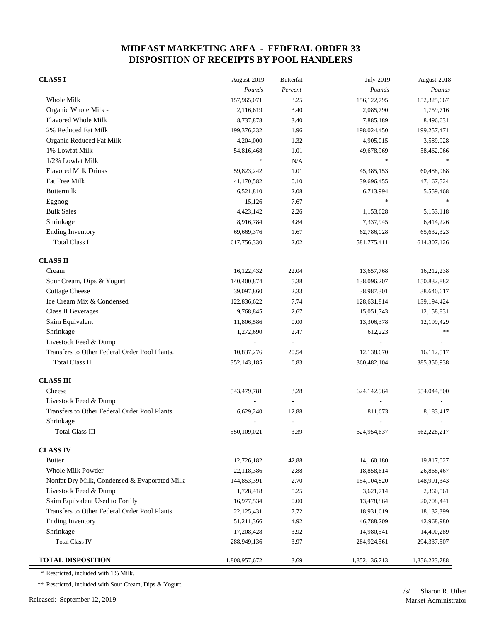| <b>CLASS I</b>                                | August-2019   | <b>Butterfat</b>         | July-2019     | August-2018   |
|-----------------------------------------------|---------------|--------------------------|---------------|---------------|
|                                               | Pounds        | Percent                  | Pounds        | Pounds        |
| Whole Milk                                    | 157,965,071   | 3.25                     | 156, 122, 795 | 152,325,667   |
| Organic Whole Milk -                          | 2,116,619     | 3.40                     | 2,085,790     | 1,759,716     |
| <b>Flavored Whole Milk</b>                    | 8,737,878     | 3.40                     | 7,885,189     | 8,496,631     |
| 2% Reduced Fat Milk                           | 199,376,232   | 1.96                     | 198,024,450   | 199,257,471   |
| Organic Reduced Fat Milk -                    | 4,204,000     | 1.32                     | 4,905,015     | 3,589,928     |
| 1% Lowfat Milk                                | 54,816,468    | 1.01                     | 49,678,969    | 58,462,066    |
| 1/2% Lowfat Milk                              | $\frac{1}{2}$ | N/A                      | $\ast$        | $\ast$        |
| <b>Flavored Milk Drinks</b>                   | 59,823,242    | 1.01                     | 45, 385, 153  | 60,488,988    |
| Fat Free Milk                                 | 41,170,582    | 0.10                     | 39,696,455    | 47,167,524    |
| Buttermilk                                    | 6,521,810     | 2.08                     | 6,713,994     | 5,559,468     |
| Eggnog                                        | 15,126        | 7.67                     | $\ast$        |               |
| <b>Bulk Sales</b>                             | 4,423,142     | 2.26                     | 1,153,628     | 5,153,118     |
| Shrinkage                                     | 8,916,784     | 4.84                     | 7,337,945     | 6,414,226     |
| <b>Ending Inventory</b>                       | 69,669,376    | 1.67                     | 62,786,028    | 65, 632, 323  |
| <b>Total Class I</b>                          | 617,756,330   | 2.02                     | 581,775,411   | 614, 307, 126 |
| <b>CLASS II</b>                               |               |                          |               |               |
| Cream                                         | 16,122,432    | 22.04                    | 13,657,768    | 16,212,238    |
| Sour Cream, Dips & Yogurt                     | 140,400,874   | 5.38                     | 138,096,207   | 150,832,882   |
| <b>Cottage Cheese</b>                         | 39,097,860    | 2.33                     | 38,987,301    | 38,640,617    |
| Ice Cream Mix & Condensed                     | 122,836,622   | 7.74                     | 128,631,814   | 139, 194, 424 |
| <b>Class II Beverages</b>                     | 9,768,845     | 2.67                     | 15,051,743    | 12,158,831    |
| Skim Equivalent                               | 11,806,586    | 0.00                     | 13,306,378    | 12,199,429    |
| Shrinkage                                     | 1,272,690     | 2.47                     | 612,223       | $\gg \gg$     |
| Livestock Feed & Dump                         |               | $\overline{\phantom{a}}$ |               |               |
| Transfers to Other Federal Order Pool Plants. | 10,837,276    | 20.54                    | 12,138,670    | 16,112,517    |
| <b>Total Class II</b>                         | 352,143,185   | 6.83                     | 360,482,104   | 385,350,938   |
| <b>CLASS III</b>                              |               |                          |               |               |
| Cheese                                        | 543,479,781   | 3.28                     | 624,142,964   | 554,044,800   |
| Livestock Feed & Dump                         |               |                          |               |               |
| Transfers to Other Federal Order Pool Plants  | 6,629,240     | 12.88                    | 811,673       | 8,183,417     |
| Shrinkage                                     |               | $\overline{\phantom{a}}$ |               |               |
| <b>Total Class III</b>                        | 550,109,021   | 3.39                     | 624,954,637   | 562,228,217   |
| <b>CLASS IV</b>                               |               |                          |               |               |
| <b>Butter</b>                                 | 12,726,182    | 42.88                    | 14,160,180    | 19,817,027    |
| Whole Milk Powder                             | 22,118,386    | 2.88                     | 18,858,614    | 26,868,467    |
| Nonfat Dry Milk, Condensed & Evaporated Milk  | 144,853,391   | 2.70                     | 154,104,820   | 148,991,343   |
| Livestock Feed & Dump                         | 1,728,418     | 5.25                     | 3,621,714     | 2,360,561     |
| Skim Equivalent Used to Fortify               | 16,977,534    | 0.00                     | 13,478,864    | 20,708,441    |
| Transfers to Other Federal Order Pool Plants  | 22,125,431    | 7.72                     | 18,931,619    | 18,132,399    |
| <b>Ending Inventory</b>                       | 51,211,366    | 4.92                     | 46,788,209    | 42,968,980    |
| Shrinkage                                     | 17,208,428    | 3.92                     | 14,980,541    | 14,490,289    |
| <b>Total Class IV</b>                         | 288,949,136   | 3.97                     | 284,924,561   | 294,337,507   |
| <b>TOTAL DISPOSITION</b>                      | 1,808,957,672 | 3.69                     | 1,852,136,713 | 1,856,223,788 |

\* Restricted, included with 1% Milk.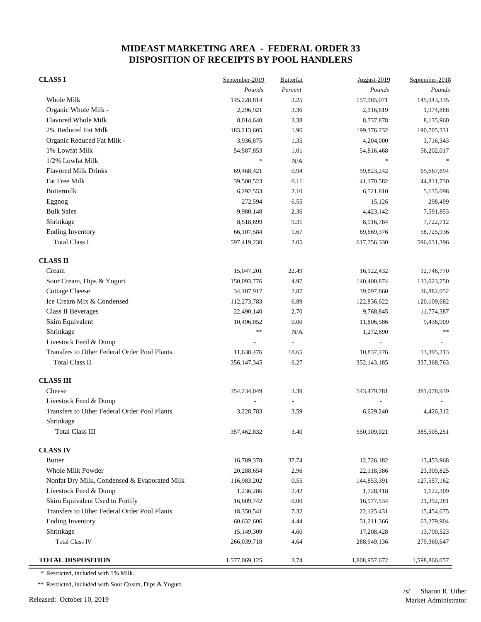| <b>CLASS I</b>                                | September-2019 | <b>Butterfat</b> | August-2019              | September-2018 |
|-----------------------------------------------|----------------|------------------|--------------------------|----------------|
|                                               | Pounds         | Percent          | Pounds                   | Pounds         |
| Whole Milk                                    | 145,228,814    | 3.25             | 157,965,071              | 145,943,335    |
| Organic Whole Milk -                          | 2,296,921      | 3.36             | 2,116,619                | 1,974,888      |
| <b>Flavored Whole Milk</b>                    | 8,014,640      | 3.38             | 8,737,878                | 8,135,960      |
| 2% Reduced Fat Milk                           | 183,213,605    | 1.96             | 199,376,232              | 190,705,331    |
| Organic Reduced Fat Milk -                    | 3,936,875      | 1.35             | 4,204,000                | 3,716,343      |
| 1% Lowfat Milk                                | 54, 587, 853   | 1.01             | 54,816,468               | 56,202,017     |
| 1/2% Lowfat Milk                              | $\frac{1}{2}$  | N/A              | $\frac{1}{2}$            |                |
| <b>Flavored Milk Drinks</b>                   | 69,468,421     | 0.94             | 59,823,242               | 65,667,694     |
| Fat Free Milk                                 | 39,500,523     | 0.11             | 41,170,582               | 44,811,730     |
| Buttermilk                                    | 6,292,553      | 2.10             | 6,521,810                | 5,135,098      |
| Eggnog                                        | 272,594        | 6.55             | 15,126                   | 298,499        |
| <b>Bulk Sales</b>                             | 9,980,148      | 2.36             | 4,423,142                | 7,591,853      |
| Shrinkage                                     | 8,518,699      | 9.31             | 8,916,784                | 7,722,712      |
| <b>Ending Inventory</b>                       | 66,107,584     | 1.67             | 69,669,376               | 58,725,936     |
| <b>Total Class I</b>                          | 597,419,230    | 2.05             | 617,756,330              | 596,631,396    |
| <b>CLASS II</b>                               |                |                  |                          |                |
| Cream                                         | 15,047,201     | 22.49            | 16,122,432               | 12,746,770     |
| Sour Cream, Dips & Yogurt                     | 150,093,776    | 4.97             | 140,400,874              | 133,023,750    |
| <b>Cottage Cheese</b>                         | 34,107,917     | 2.87             | 39,097,860               | 36,882,052     |
| Ice Cream Mix & Condensed                     | 112,273,783    | 6.89             | 122,836,622              | 120,109,682    |
| <b>Class II Beverages</b>                     | 22,490,140     | 2.70             | 9,768,845                | 11,774,387     |
| Skim Equivalent                               | 10,496,052     | 0.00             | 11,806,586               | 9,436,909      |
| Shrinkage                                     | $\ast$ $\ast$  | N/A              | 1,272,690                | $\gg \gg$      |
| Livestock Feed & Dump                         |                |                  |                          |                |
| Transfers to Other Federal Order Pool Plants. | 11,638,476     | 18.65            | 10,837,276               | 13,395,213     |
| <b>Total Class II</b>                         | 356, 147, 345  | 6.27             | 352,143,185              | 337, 368, 763  |
| <b>CLASS III</b>                              |                |                  |                          |                |
| Cheese                                        | 354,234,049    | 3.39             | 543,479,781              | 381,078,939    |
| Livestock Feed & Dump                         |                |                  |                          |                |
| Transfers to Other Federal Order Pool Plants  | 3,228,783      | 3.59             | 6,629,240                | 4,426,312      |
| Shrinkage                                     |                |                  | $\overline{\phantom{a}}$ |                |
| <b>Total Class III</b>                        | 357,462,832    | 3.40             | 550,109,021              | 385,505,251    |
| <b>CLASS IV</b>                               |                |                  |                          |                |
| <b>Butter</b>                                 | 16,789,378     | 37.74            | 12,726,182               | 13,453,968     |
| Whole Milk Powder                             | 20,288,654     | 2.96             | 22,118,386               | 23,309,825     |
| Nonfat Dry Milk, Condensed & Evaporated Milk  | 116,983,202    | 0.55             | 144,853,391              | 127,557,162    |
| Livestock Feed & Dump                         | 1,236,286      | 2.42             | 1,728,418                | 1,122,309      |
| Skim Equivalent Used to Fortify               | 16,609,742     | 0.00             | 16,977,534               | 21,392,281     |
| Transfers to Other Federal Order Pool Plants  | 18,350,541     | 7.32             | 22,125,431               | 15,454,675     |
| <b>Ending Inventory</b>                       | 60,632,606     | 4.44             | 51,211,366               | 63,279,904     |
| Shrinkage                                     | 15,149,309     | 4.60             | 17,208,428               | 13,790,523     |
| <b>Total Class IV</b>                         | 266,039,718    | 4.64             | 288,949,136              | 279,360,647    |
| <b>TOTAL DISPOSITION</b>                      | 1,577,069,125  | 3.74             | 1,808,957,672            | 1,598,866,057  |

\* Restricted, included with 1% Milk.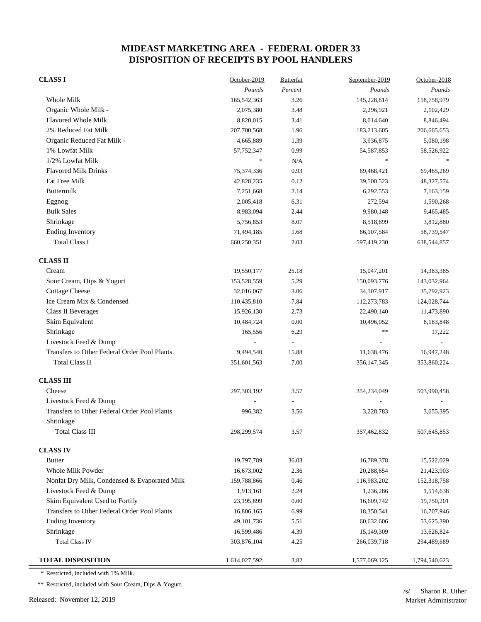| <b>CLASS I</b>                                | October-2019  | <b>Butterfat</b>         | September-2019           | October-2018  |
|-----------------------------------------------|---------------|--------------------------|--------------------------|---------------|
|                                               | Pounds        | Percent                  | Pounds                   | Pounds        |
| Whole Milk                                    | 165,542,363   | 3.26                     | 145,228,814              | 158,758,979   |
| Organic Whole Milk -                          | 2,075,380     | 3.48                     | 2,296,921                | 2,102,429     |
| <b>Flavored Whole Milk</b>                    | 8,820,015     | 3.41                     | 8,014,640                | 8,846,494     |
| 2% Reduced Fat Milk                           | 207,700,568   | 1.96                     | 183,213,605              | 206, 665, 653 |
| Organic Reduced Fat Milk -                    | 4,665,889     | 1.39                     | 3,936,875                | 5,080,198     |
| 1% Lowfat Milk                                | 57,752,347    | 0.99                     | 54, 587, 853             | 58,526,922    |
| 1/2% Lowfat Milk                              | $\ast$        | N/A                      | $\frac{d\mathbf{r}}{dt}$ |               |
| <b>Flavored Milk Drinks</b>                   | 75,374,336    | 0.93                     | 69,468,421               | 69,465,269    |
| Fat Free Milk                                 | 42,828,235    | 0.12                     | 39,500,523               | 48,327,574    |
| Buttermilk                                    | 7,251,668     | 2.14                     | 6,292,553                | 7,163,159     |
| Eggnog                                        | 2,005,418     | 6.31                     | 272,594                  | 1,590,268     |
| <b>Bulk Sales</b>                             | 8,983,094     | 2.44                     | 9,980,148                | 9,465,485     |
| Shrinkage                                     | 5,756,853     | 8.07                     | 8,518,699                | 3,812,880     |
| <b>Ending Inventory</b>                       | 71,494,185    | 1.68                     | 66,107,584               | 58,739,547    |
| <b>Total Class I</b>                          | 660,250,351   | 2.03                     | 597,419,230              | 638,544,857   |
| <b>CLASS II</b>                               |               |                          |                          |               |
| Cream                                         | 19,550,177    | 25.18                    | 15,047,201               | 14,383,385    |
| Sour Cream, Dips & Yogurt                     | 153,528,559   | 5.29                     | 150,093,776              | 143,032,964   |
| <b>Cottage Cheese</b>                         | 32,016,067    | 3.06                     | 34,107,917               | 35,792,923    |
| Ice Cream Mix & Condensed                     | 110,435,810   | 7.84                     | 112,273,783              | 124,028,744   |
| Class II Beverages                            | 15,926,130    | 2.73                     | 22,490,140               | 11,473,890    |
| Skim Equivalent                               | 10,484,724    | 0.00                     | 10,496,052               | 8,183,848     |
| Shrinkage                                     | 165,556       | 6.29                     | **                       | 17,222        |
| Livestock Feed & Dump                         |               | $\overline{\phantom{a}}$ |                          |               |
| Transfers to Other Federal Order Pool Plants. | 9,494,540     | 15.88                    | 11,638,476               | 16,947,248    |
| <b>Total Class II</b>                         | 351,601,563   | 7.00                     | 356, 147, 345            | 353,860,224   |
| <b>CLASS III</b>                              |               |                          |                          |               |
| Cheese                                        | 297, 303, 192 | 3.57                     | 354,234,049              | 503,990,458   |
| Livestock Feed & Dump                         |               |                          |                          |               |
| Transfers to Other Federal Order Pool Plants  | 996,382       | 3.56                     | 3,228,783                | 3,655,395     |
| Shrinkage                                     |               | $\overline{\phantom{a}}$ |                          |               |
| <b>Total Class III</b>                        | 298,299,574   | 3.57                     | 357,462,832              | 507,645,853   |
| <b>CLASS IV</b>                               |               |                          |                          |               |
| <b>Butter</b>                                 | 19,797,789    | 36.03                    | 16,789,378               | 15,522,029    |
| Whole Milk Powder                             | 16,673,002    | 2.36                     | 20,288,654               | 21,423,903    |
| Nonfat Dry Milk, Condensed & Evaporated Milk  | 159,788,866   | 0.46                     | 116,983,202              | 152,318,758   |
| Livestock Feed & Dump                         | 1,913,161     | 2.24                     | 1,236,286                | 1,514,638     |
| Skim Equivalent Used to Fortify               | 23,195,899    | 0.00                     | 16,609,742               | 19,750,201    |
| Transfers to Other Federal Order Pool Plants  | 16,806,165    | 6.99                     | 18,350,541               | 16,707,946    |
| <b>Ending Inventory</b>                       | 49, 101, 736  | 5.51                     | 60,632,606               | 53,625,390    |
| Shrinkage                                     | 16,599,486    | 4.39                     | 15,149,309               | 13,626,824    |
| <b>Total Class IV</b>                         | 303,876,104   | 4.25                     | 266,039,718              | 294,489,689   |
| <b>TOTAL DISPOSITION</b>                      | 1,614,027,592 | 3.82                     | 1,577,069,125            | 1,794,540,623 |

\* Restricted, included with 1% Milk.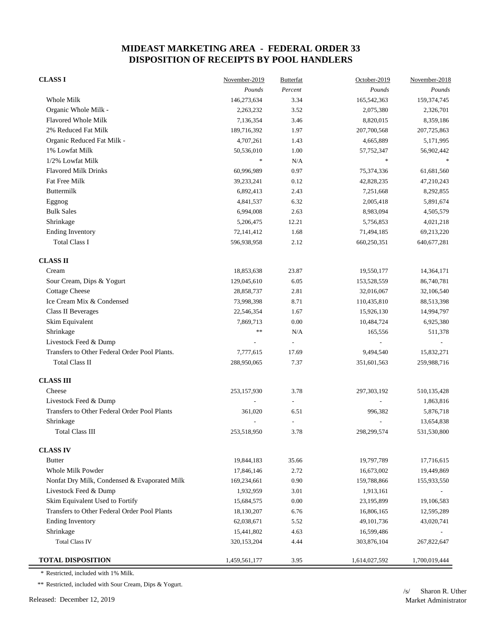| <b>CLASS I</b>                                | November-2019 | <b>Butterfat</b> | October-2019  | November-2018 |
|-----------------------------------------------|---------------|------------------|---------------|---------------|
|                                               | Pounds        | Percent          | Pounds        | Pounds        |
| Whole Milk                                    | 146,273,634   | 3.34             | 165,542,363   | 159,374,745   |
| Organic Whole Milk -                          | 2,263,232     | 3.52             | 2,075,380     | 2,326,701     |
| <b>Flavored Whole Milk</b>                    | 7,136,354     | 3.46             | 8,820,015     | 8,359,186     |
| 2% Reduced Fat Milk                           | 189,716,392   | 1.97             | 207,700,568   | 207,725,863   |
| Organic Reduced Fat Milk -                    | 4,707,261     | 1.43             | 4,665,889     | 5,171,995     |
| 1% Lowfat Milk                                | 50,536,010    | 1.00             | 57,752,347    | 56,902,442    |
| 1/2% Lowfat Milk                              | $\frac{1}{2}$ | N/A              | $\ast$        |               |
| <b>Flavored Milk Drinks</b>                   | 60,996,989    | 0.97             | 75,374,336    | 61,681,560    |
| Fat Free Milk                                 | 39,233,241    | 0.12             | 42,828,235    | 47,210,243    |
| Buttermilk                                    | 6,892,413     | 2.43             | 7,251,668     | 8,292,855     |
| Eggnog                                        | 4,841,537     | 6.32             | 2,005,418     | 5,891,674     |
| <b>Bulk Sales</b>                             | 6,994,008     | 2.63             | 8,983,094     | 4,505,579     |
| Shrinkage                                     | 5,206,475     | 12.21            | 5,756,853     | 4,021,218     |
| <b>Ending Inventory</b>                       | 72,141,412    | 1.68             | 71,494,185    | 69,213,220    |
| <b>Total Class I</b>                          | 596,938,958   | 2.12             | 660,250,351   | 640, 677, 281 |
| <b>CLASS II</b>                               |               |                  |               |               |
| Cream                                         | 18,853,638    | 23.87            | 19,550,177    | 14,364,171    |
| Sour Cream, Dips & Yogurt                     | 129,045,610   | 6.05             | 153,528,559   | 86,740,781    |
| <b>Cottage Cheese</b>                         | 28,858,737    | 2.81             | 32,016,067    | 32,106,540    |
| Ice Cream Mix & Condensed                     | 73,998,398    | 8.71             | 110,435,810   | 88,513,398    |
| <b>Class II Beverages</b>                     | 22,546,354    | 1.67             | 15,926,130    | 14,994,797    |
| Skim Equivalent                               | 7,869,713     | 0.00             | 10,484,724    | 6,925,380     |
| Shrinkage                                     | **            | N/A              | 165,556       | 511,378       |
| Livestock Feed & Dump                         |               | L,               |               |               |
| Transfers to Other Federal Order Pool Plants. | 7,777,615     | 17.69            | 9,494,540     | 15,832,271    |
| <b>Total Class II</b>                         | 288,950,065   | 7.37             | 351,601,563   | 259,988,716   |
| <b>CLASS III</b>                              |               |                  |               |               |
| Cheese                                        | 253,157,930   | 3.78             | 297,303,192   | 510, 135, 428 |
| Livestock Feed & Dump                         |               |                  |               | 1,863,816     |
| Transfers to Other Federal Order Pool Plants  | 361,020       | 6.51             | 996,382       | 5,876,718     |
| Shrinkage                                     |               |                  |               | 13,654,838    |
| <b>Total Class III</b>                        | 253,518,950   | 3.78             | 298,299,574   | 531,530,800   |
| <b>CLASS IV</b>                               |               |                  |               |               |
| <b>Butter</b>                                 | 19,844,183    | 35.66            | 19,797,789    | 17,716,615    |
| Whole Milk Powder                             | 17,846,146    | 2.72             | 16,673,002    | 19,449,869    |
| Nonfat Dry Milk, Condensed & Evaporated Milk  | 169,234,661   | 0.90             | 159,788,866   | 155,933,550   |
| Livestock Feed & Dump                         | 1,932,959     | 3.01             | 1,913,161     |               |
| Skim Equivalent Used to Fortify               | 15,684,575    | $0.00\,$         | 23,195,899    | 19,106,583    |
| Transfers to Other Federal Order Pool Plants  | 18,130,207    | 6.76             | 16,806,165    | 12,595,289    |
| <b>Ending Inventory</b>                       | 62,038,671    | 5.52             | 49, 101, 736  | 43,020,741    |
| Shrinkage                                     | 15,441,802    | 4.63             | 16,599,486    |               |
| <b>Total Class IV</b>                         | 320, 153, 204 | 4.44             | 303,876,104   | 267,822,647   |
| <b>TOTAL DISPOSITION</b>                      | 1,459,561,177 | 3.95             | 1,614,027,592 | 1,700,019,444 |

\* Restricted, included with 1% Milk.